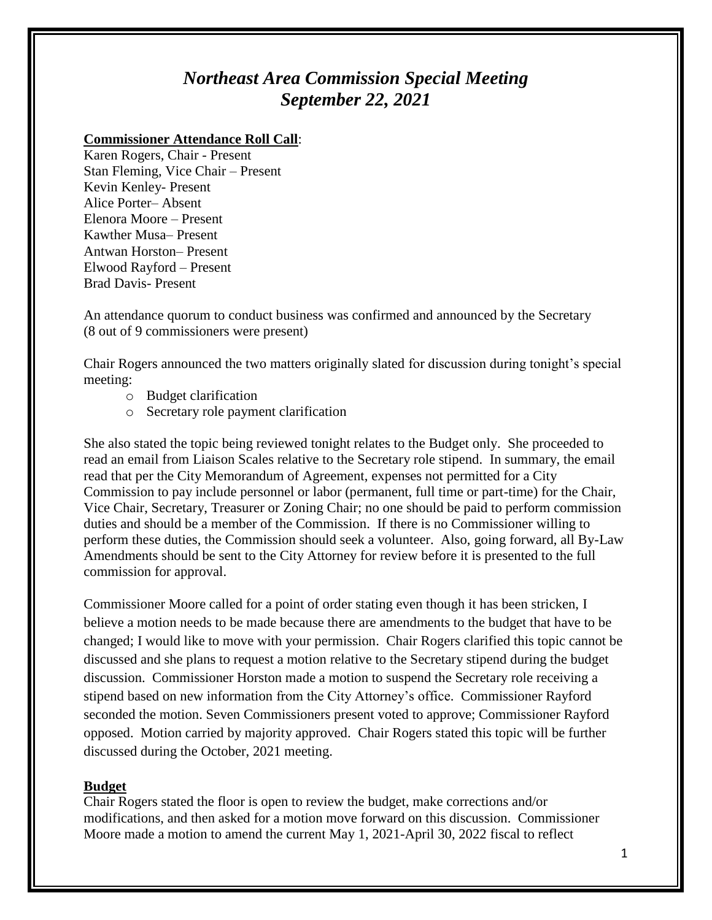## *Northeast Area Commission Special Meeting September 22, 2021*

## **Commissioner Attendance Roll Call**:

Karen Rogers, Chair - Present Stan Fleming, Vice Chair – Present Kevin Kenley- Present Alice Porter– Absent Elenora Moore – Present Kawther Musa– Present Antwan Horston– Present Elwood Rayford – Present Brad Davis- Present

An attendance quorum to conduct business was confirmed and announced by the Secretary (8 out of 9 commissioners were present)

Chair Rogers announced the two matters originally slated for discussion during tonight's special meeting:

- o Budget clarification
- o Secretary role payment clarification

She also stated the topic being reviewed tonight relates to the Budget only. She proceeded to read an email from Liaison Scales relative to the Secretary role stipend. In summary, the email read that per the City Memorandum of Agreement, expenses not permitted for a City Commission to pay include personnel or labor (permanent, full time or part-time) for the Chair, Vice Chair, Secretary, Treasurer or Zoning Chair; no one should be paid to perform commission duties and should be a member of the Commission. If there is no Commissioner willing to perform these duties, the Commission should seek a volunteer. Also, going forward, all By-Law Amendments should be sent to the City Attorney for review before it is presented to the full commission for approval.

Commissioner Moore called for a point of order stating even though it has been stricken, I believe a motion needs to be made because there are amendments to the budget that have to be changed; I would like to move with your permission. Chair Rogers clarified this topic cannot be discussed and she plans to request a motion relative to the Secretary stipend during the budget discussion. Commissioner Horston made a motion to suspend the Secretary role receiving a stipend based on new information from the City Attorney's office. Commissioner Rayford seconded the motion. Seven Commissioners present voted to approve; Commissioner Rayford opposed. Motion carried by majority approved. Chair Rogers stated this topic will be further discussed during the October, 2021 meeting.

## **Budget**

Chair Rogers stated the floor is open to review the budget, make corrections and/or modifications, and then asked for a motion move forward on this discussion. Commissioner Moore made a motion to amend the current May 1, 2021-April 30, 2022 fiscal to reflect